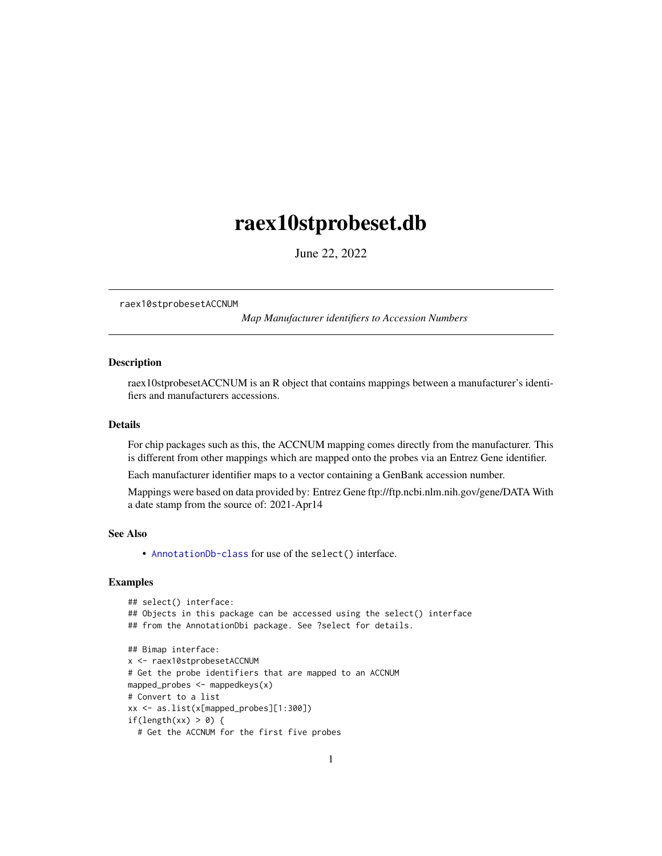## <span id="page-0-1"></span><span id="page-0-0"></span>raex10stprobeset.db

June 22, 2022

raex10stprobesetACCNUM

*Map Manufacturer identifiers to Accession Numbers*

## Description

raex10stprobesetACCNUM is an R object that contains mappings between a manufacturer's identifiers and manufacturers accessions.

#### Details

For chip packages such as this, the ACCNUM mapping comes directly from the manufacturer. This is different from other mappings which are mapped onto the probes via an Entrez Gene identifier.

Each manufacturer identifier maps to a vector containing a GenBank accession number.

Mappings were based on data provided by: Entrez Gene ftp://ftp.ncbi.nlm.nih.gov/gene/DATA With a date stamp from the source of: 2021-Apr14

## See Also

• AnnotationDb-class for use of the select() interface.

```
## select() interface:
## Objects in this package can be accessed using the select() interface
## from the AnnotationDbi package. See ?select for details.
## Bimap interface:
x <- raex10stprobesetACCNUM
# Get the probe identifiers that are mapped to an ACCNUM
mapped_probes <- mappedkeys(x)
# Convert to a list
xx <- as.list(x[mapped_probes][1:300])
if(length(xx) > 0) {
  # Get the ACCNUM for the first five probes
```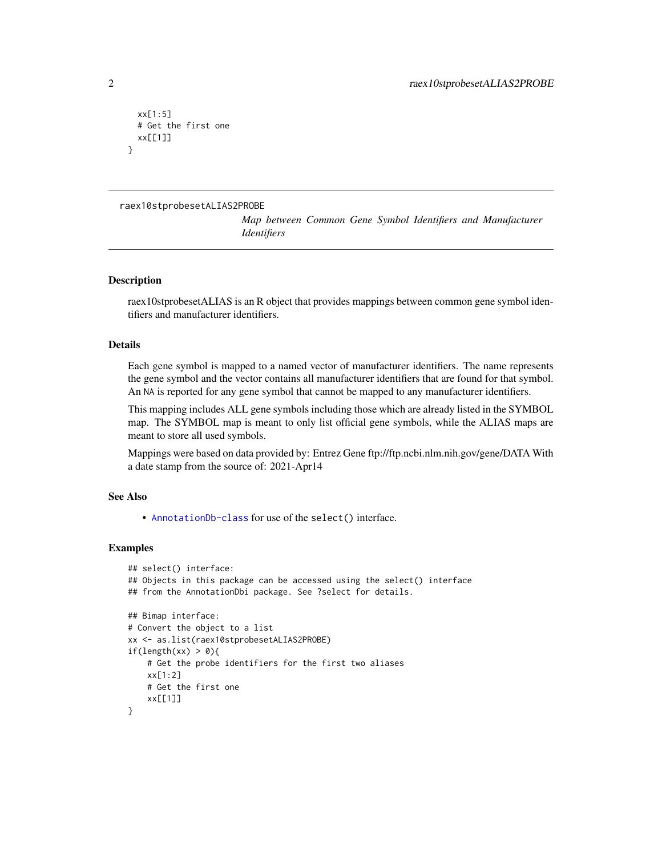```
xx[1:5]
 # Get the first one
 xx[[1]]
}
```

```
raex10stprobesetALIAS2PROBE
```
*Map between Common Gene Symbol Identifiers and Manufacturer Identifiers*

## **Description**

raex10stprobesetALIAS is an R object that provides mappings between common gene symbol identifiers and manufacturer identifiers.

## Details

Each gene symbol is mapped to a named vector of manufacturer identifiers. The name represents the gene symbol and the vector contains all manufacturer identifiers that are found for that symbol. An NA is reported for any gene symbol that cannot be mapped to any manufacturer identifiers.

This mapping includes ALL gene symbols including those which are already listed in the SYMBOL map. The SYMBOL map is meant to only list official gene symbols, while the ALIAS maps are meant to store all used symbols.

Mappings were based on data provided by: Entrez Gene ftp://ftp.ncbi.nlm.nih.gov/gene/DATA With a date stamp from the source of: 2021-Apr14

## See Also

• [AnnotationDb-class](#page-0-0) for use of the select() interface.

```
## select() interface:
## Objects in this package can be accessed using the select() interface
## from the AnnotationDbi package. See ?select for details.
## Bimap interface:
# Convert the object to a list
xx <- as.list(raex10stprobesetALIAS2PROBE)
if(length(xx) > 0){
   # Get the probe identifiers for the first two aliases
   xx[1:2]
   # Get the first one
    xx[[1]]
}
```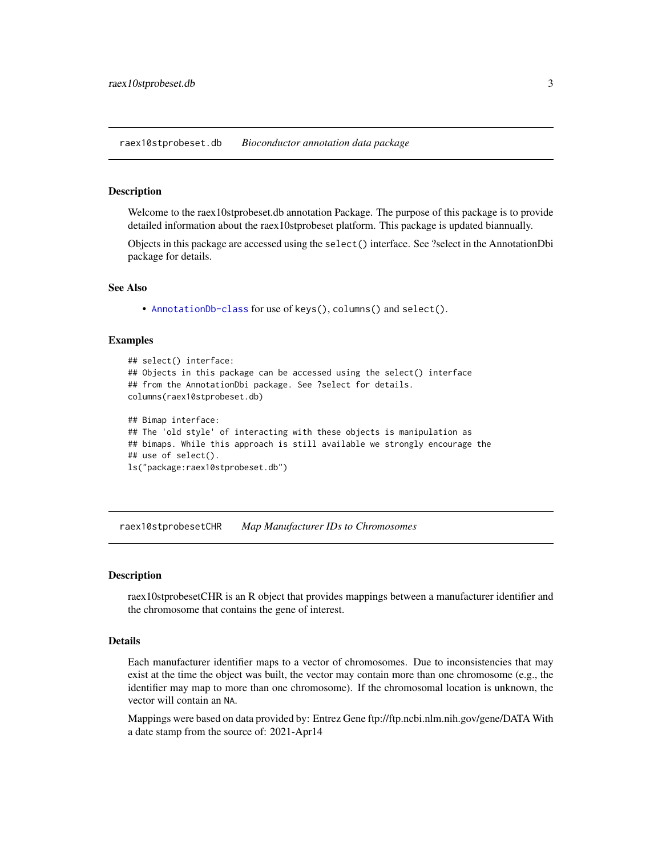<span id="page-2-0"></span>raex10stprobeset.db *Bioconductor annotation data package*

#### Description

Welcome to the raex10stprobeset.db annotation Package. The purpose of this package is to provide detailed information about the raex10stprobeset platform. This package is updated biannually.

Objects in this package are accessed using the select() interface. See ?select in the AnnotationDbi package for details.

#### See Also

• [AnnotationDb-class](#page-0-0) for use of keys(), columns() and select().

#### Examples

```
## select() interface:
## Objects in this package can be accessed using the select() interface
## from the AnnotationDbi package. See ?select for details.
columns(raex10stprobeset.db)
## Bimap interface:
## The 'old style' of interacting with these objects is manipulation as
## bimaps. While this approach is still available we strongly encourage the
## use of select().
ls("package:raex10stprobeset.db")
```
raex10stprobesetCHR *Map Manufacturer IDs to Chromosomes*

#### **Description**

raex10stprobesetCHR is an R object that provides mappings between a manufacturer identifier and the chromosome that contains the gene of interest.

## Details

Each manufacturer identifier maps to a vector of chromosomes. Due to inconsistencies that may exist at the time the object was built, the vector may contain more than one chromosome (e.g., the identifier may map to more than one chromosome). If the chromosomal location is unknown, the vector will contain an NA.

Mappings were based on data provided by: Entrez Gene ftp://ftp.ncbi.nlm.nih.gov/gene/DATA With a date stamp from the source of: 2021-Apr14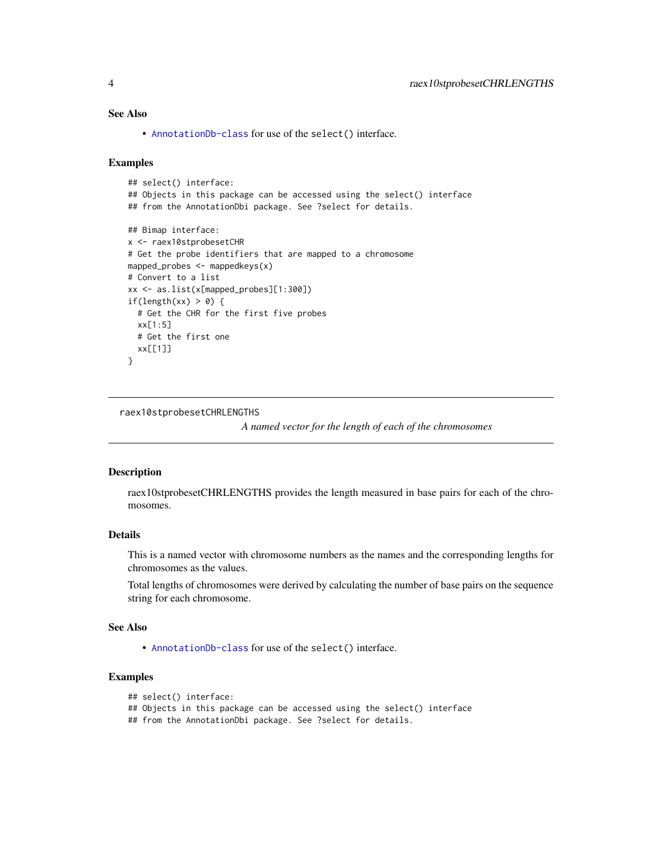## <span id="page-3-0"></span>See Also

• [AnnotationDb-class](#page-0-0) for use of the select() interface.

#### Examples

```
## select() interface:
## Objects in this package can be accessed using the select() interface
## from the AnnotationDbi package. See ?select for details.
## Bimap interface:
x <- raex10stprobesetCHR
# Get the probe identifiers that are mapped to a chromosome
mapped_probes <- mappedkeys(x)
# Convert to a list
xx <- as.list(x[mapped_probes][1:300])
if(length(xx) > 0) {
  # Get the CHR for the first five probes
  xx[1:5]
  # Get the first one
  xx[[1]]
}
```
raex10stprobesetCHRLENGTHS

*A named vector for the length of each of the chromosomes*

#### Description

raex10stprobesetCHRLENGTHS provides the length measured in base pairs for each of the chromosomes.

## Details

This is a named vector with chromosome numbers as the names and the corresponding lengths for chromosomes as the values.

Total lengths of chromosomes were derived by calculating the number of base pairs on the sequence string for each chromosome.

#### See Also

• [AnnotationDb-class](#page-0-0) for use of the select() interface.

```
## select() interface:
```

```
## Objects in this package can be accessed using the select() interface
```

```
## from the AnnotationDbi package. See ?select for details.
```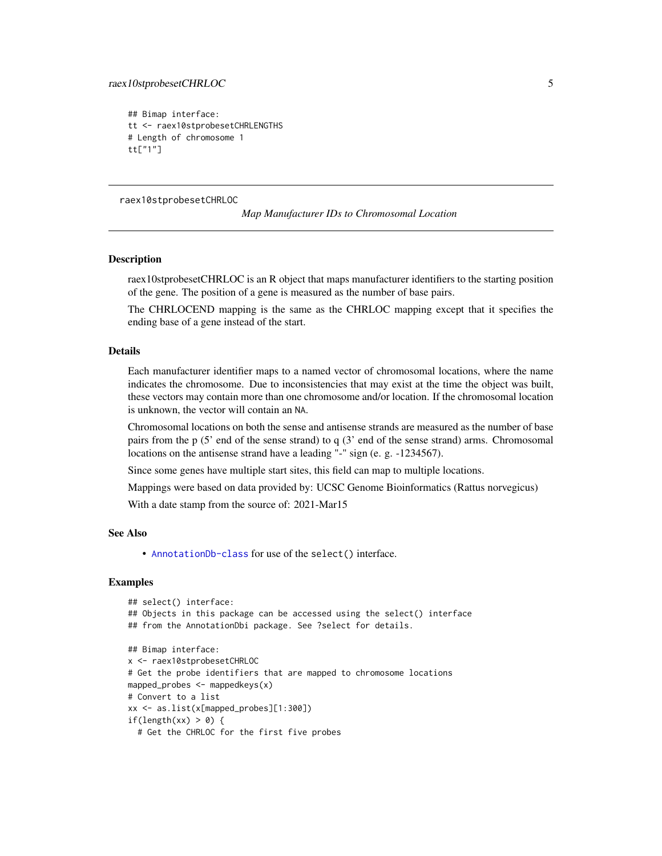```
## Bimap interface:
tt <- raex10stprobesetCHRLENGTHS
# Length of chromosome 1
tt["1"]
```
raex10stprobesetCHRLOC

*Map Manufacturer IDs to Chromosomal Location*

#### **Description**

raex10stprobesetCHRLOC is an R object that maps manufacturer identifiers to the starting position of the gene. The position of a gene is measured as the number of base pairs.

The CHRLOCEND mapping is the same as the CHRLOC mapping except that it specifies the ending base of a gene instead of the start.

## Details

Each manufacturer identifier maps to a named vector of chromosomal locations, where the name indicates the chromosome. Due to inconsistencies that may exist at the time the object was built, these vectors may contain more than one chromosome and/or location. If the chromosomal location is unknown, the vector will contain an NA.

Chromosomal locations on both the sense and antisense strands are measured as the number of base pairs from the p (5' end of the sense strand) to q (3' end of the sense strand) arms. Chromosomal locations on the antisense strand have a leading "-" sign (e. g. -1234567).

Since some genes have multiple start sites, this field can map to multiple locations.

Mappings were based on data provided by: UCSC Genome Bioinformatics (Rattus norvegicus)

With a date stamp from the source of: 2021-Mar15

#### See Also

• [AnnotationDb-class](#page-0-0) for use of the select() interface.

```
## select() interface:
## Objects in this package can be accessed using the select() interface
## from the AnnotationDbi package. See ?select for details.
## Bimap interface:
x <- raex10stprobesetCHRLOC
# Get the probe identifiers that are mapped to chromosome locations
mapped_probes <- mappedkeys(x)
# Convert to a list
xx <- as.list(x[mapped_probes][1:300])
if(length(xx) > 0) {
 # Get the CHRLOC for the first five probes
```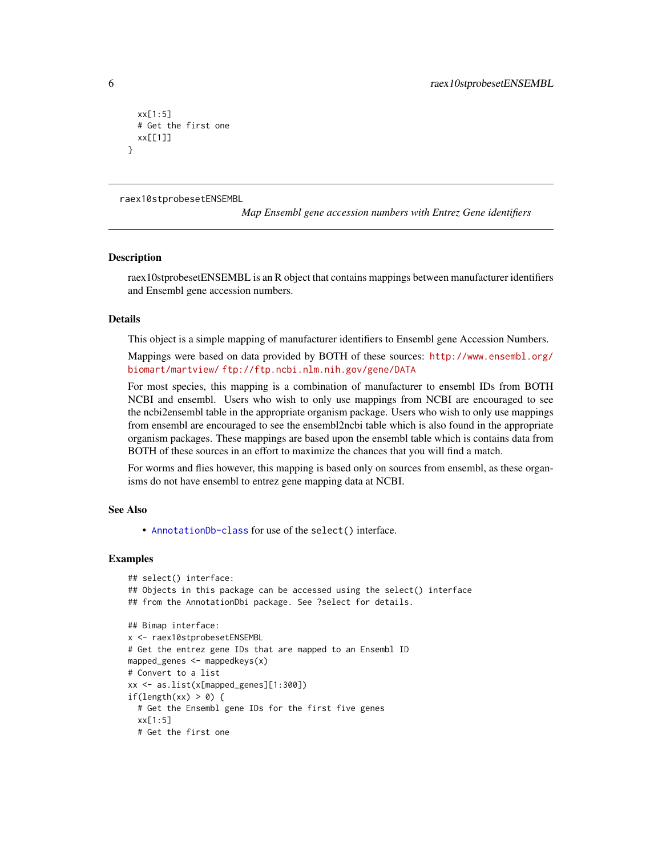```
xx[1:5]
 # Get the first one
 xx[[1]]
}
```
raex10stprobesetENSEMBL

*Map Ensembl gene accession numbers with Entrez Gene identifiers*

#### **Description**

raex10stprobesetENSEMBL is an R object that contains mappings between manufacturer identifiers and Ensembl gene accession numbers.

#### Details

This object is a simple mapping of manufacturer identifiers to Ensembl gene Accession Numbers.

Mappings were based on data provided by BOTH of these sources: [http://www.ensembl.org/](http://www.ensembl.org/biomart/martview/) [biomart/martview/](http://www.ensembl.org/biomart/martview/) <ftp://ftp.ncbi.nlm.nih.gov/gene/DATA>

For most species, this mapping is a combination of manufacturer to ensembl IDs from BOTH NCBI and ensembl. Users who wish to only use mappings from NCBI are encouraged to see the ncbi2ensembl table in the appropriate organism package. Users who wish to only use mappings from ensembl are encouraged to see the ensembl2ncbi table which is also found in the appropriate organism packages. These mappings are based upon the ensembl table which is contains data from BOTH of these sources in an effort to maximize the chances that you will find a match.

For worms and flies however, this mapping is based only on sources from ensembl, as these organisms do not have ensembl to entrez gene mapping data at NCBI.

#### See Also

• [AnnotationDb-class](#page-0-0) for use of the select() interface.

```
## select() interface:
## Objects in this package can be accessed using the select() interface
## from the AnnotationDbi package. See ?select for details.
## Bimap interface:
x <- raex10stprobesetENSEMBL
# Get the entrez gene IDs that are mapped to an Ensembl ID
mapped_genes <- mappedkeys(x)
# Convert to a list
xx <- as.list(x[mapped_genes][1:300])
if(length(xx) > 0) {
 # Get the Ensembl gene IDs for the first five genes
 xx[1:5]
 # Get the first one
```
<span id="page-5-0"></span>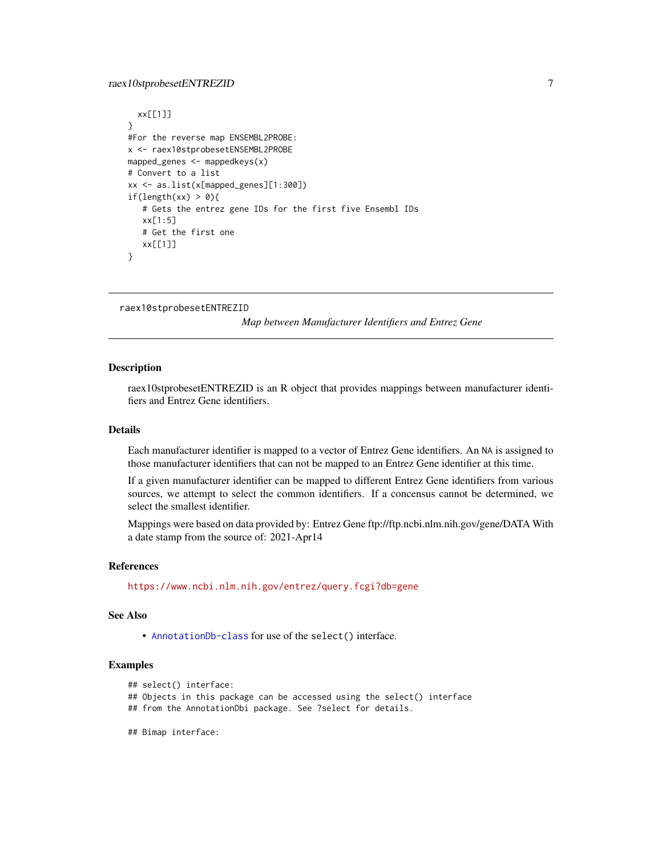## <span id="page-6-0"></span>raex10stprobesetENTREZID 7

```
xx[[1]]
}
#For the reverse map ENSEMBL2PROBE:
x <- raex10stprobesetENSEMBL2PROBE
mapped_genes <- mappedkeys(x)
# Convert to a list
xx <- as.list(x[mapped_genes][1:300])
if(length(xx) > 0){
   # Gets the entrez gene IDs for the first five Ensembl IDs
   xx[1:5]
   # Get the first one
   xx[[1]]
}
```

```
raex10stprobesetENTREZID
```
*Map between Manufacturer Identifiers and Entrez Gene*

#### Description

raex10stprobesetENTREZID is an R object that provides mappings between manufacturer identifiers and Entrez Gene identifiers.

## Details

Each manufacturer identifier is mapped to a vector of Entrez Gene identifiers. An NA is assigned to those manufacturer identifiers that can not be mapped to an Entrez Gene identifier at this time.

If a given manufacturer identifier can be mapped to different Entrez Gene identifiers from various sources, we attempt to select the common identifiers. If a concensus cannot be determined, we select the smallest identifier.

Mappings were based on data provided by: Entrez Gene ftp://ftp.ncbi.nlm.nih.gov/gene/DATA With a date stamp from the source of: 2021-Apr14

#### References

<https://www.ncbi.nlm.nih.gov/entrez/query.fcgi?db=gene>

#### See Also

• [AnnotationDb-class](#page-0-0) for use of the select() interface.

```
## select() interface:
```
- ## Objects in this package can be accessed using the select() interface
- ## from the AnnotationDbi package. See ?select for details.
- ## Bimap interface: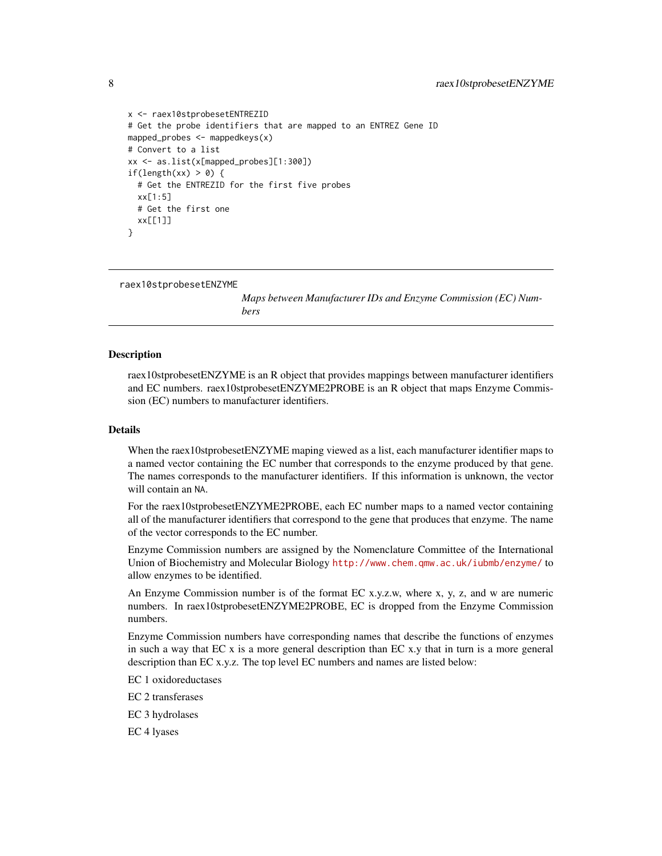```
x <- raex10stprobesetENTREZID
# Get the probe identifiers that are mapped to an ENTREZ Gene ID
mapped_probes <- mappedkeys(x)
# Convert to a list
xx <- as.list(x[mapped_probes][1:300])
if(length(xx) > 0) {
 # Get the ENTREZID for the first five probes
 xx[1:5]
 # Get the first one
 xx[[1]]
}
```

```
raex10stprobesetENZYME
```
*Maps between Manufacturer IDs and Enzyme Commission (EC) Numbers*

## Description

raex10stprobesetENZYME is an R object that provides mappings between manufacturer identifiers and EC numbers. raex10stprobesetENZYME2PROBE is an R object that maps Enzyme Commission (EC) numbers to manufacturer identifiers.

#### Details

When the raex10stprobesetENZYME maping viewed as a list, each manufacturer identifier maps to a named vector containing the EC number that corresponds to the enzyme produced by that gene. The names corresponds to the manufacturer identifiers. If this information is unknown, the vector will contain an NA.

For the raex10stprobesetENZYME2PROBE, each EC number maps to a named vector containing all of the manufacturer identifiers that correspond to the gene that produces that enzyme. The name of the vector corresponds to the EC number.

Enzyme Commission numbers are assigned by the Nomenclature Committee of the International Union of Biochemistry and Molecular Biology <http://www.chem.qmw.ac.uk/iubmb/enzyme/> to allow enzymes to be identified.

An Enzyme Commission number is of the format EC x.y.z.w, where x, y, z, and w are numeric numbers. In raex10stprobesetENZYME2PROBE, EC is dropped from the Enzyme Commission numbers.

Enzyme Commission numbers have corresponding names that describe the functions of enzymes in such a way that EC x is a more general description than EC x.y that in turn is a more general description than EC x.y.z. The top level EC numbers and names are listed below:

EC 1 oxidoreductases

EC 2 transferases

EC 3 hydrolases

EC 4 lyases

<span id="page-7-0"></span>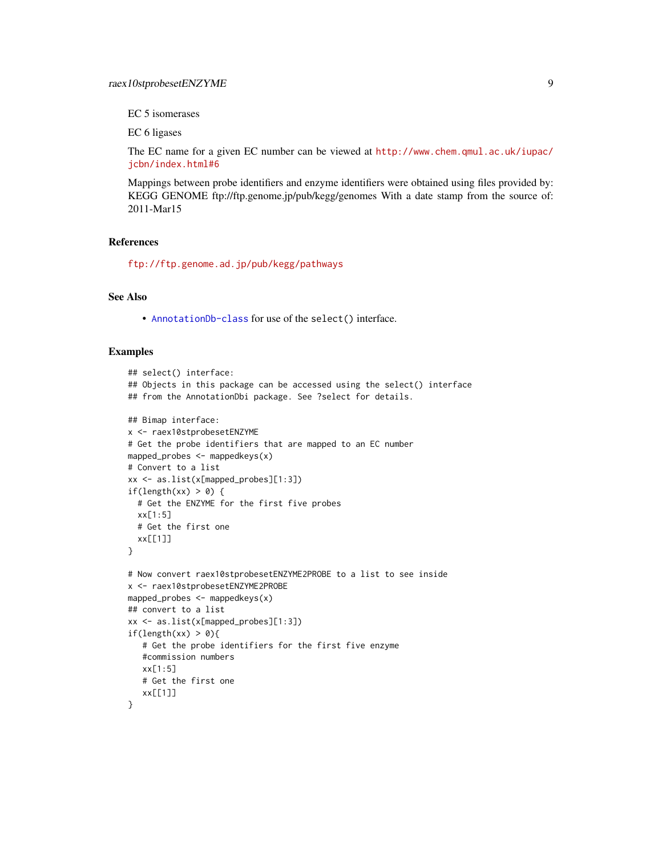EC 5 isomerases

EC 6 ligases

The EC name for a given EC number can be viewed at [http://www.chem.qmul.ac.uk/iupac/](http://www.chem.qmul.ac.uk/iupac/jcbn/index.html#6) [jcbn/index.html#6](http://www.chem.qmul.ac.uk/iupac/jcbn/index.html#6)

Mappings between probe identifiers and enzyme identifiers were obtained using files provided by: KEGG GENOME ftp://ftp.genome.jp/pub/kegg/genomes With a date stamp from the source of: 2011-Mar15

## References

<ftp://ftp.genome.ad.jp/pub/kegg/pathways>

## See Also

• [AnnotationDb-class](#page-0-0) for use of the select() interface.

```
## select() interface:
## Objects in this package can be accessed using the select() interface
## from the AnnotationDbi package. See ?select for details.
## Bimap interface:
x <- raex10stprobesetENZYME
# Get the probe identifiers that are mapped to an EC number
mapped_probes <- mappedkeys(x)
# Convert to a list
xx <- as.list(x[mapped_probes][1:3])
if(length(xx) > 0) {
  # Get the ENZYME for the first five probes
  xx[1:5]
  # Get the first one
  xx[[1]]
}
# Now convert raex10stprobesetENZYME2PROBE to a list to see inside
x <- raex10stprobesetENZYME2PROBE
mapped_probes <- mappedkeys(x)
## convert to a list
xx <- as.list(x[mapped_probes][1:3])
if(length(xx) > 0){
   # Get the probe identifiers for the first five enzyme
   #commission numbers
   xx[1:5]
   # Get the first one
   xx[[1]]
}
```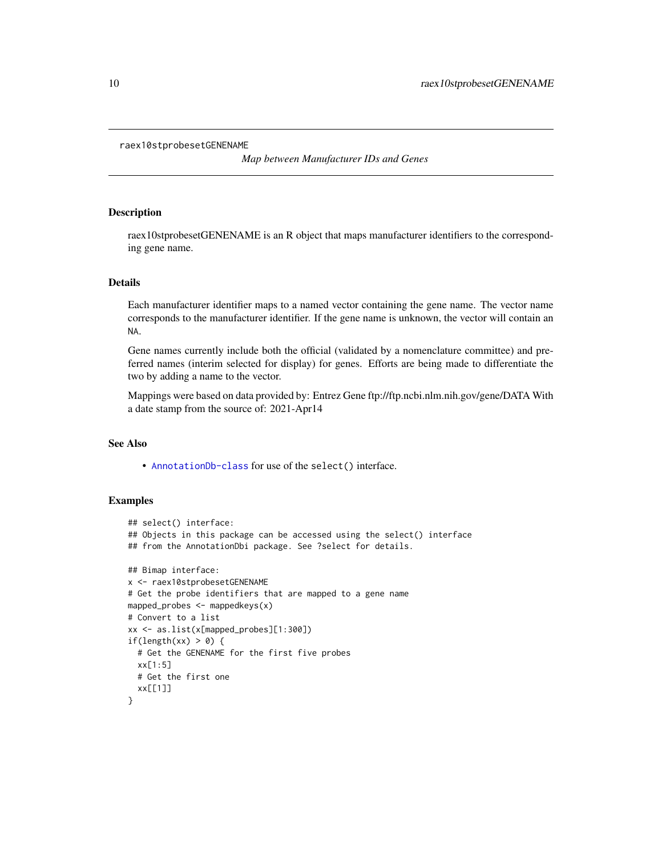#### <span id="page-9-0"></span>raex10stprobesetGENENAME

*Map between Manufacturer IDs and Genes*

## Description

raex10stprobesetGENENAME is an R object that maps manufacturer identifiers to the corresponding gene name.

## Details

Each manufacturer identifier maps to a named vector containing the gene name. The vector name corresponds to the manufacturer identifier. If the gene name is unknown, the vector will contain an NA.

Gene names currently include both the official (validated by a nomenclature committee) and preferred names (interim selected for display) for genes. Efforts are being made to differentiate the two by adding a name to the vector.

Mappings were based on data provided by: Entrez Gene ftp://ftp.ncbi.nlm.nih.gov/gene/DATA With a date stamp from the source of: 2021-Apr14

## See Also

• [AnnotationDb-class](#page-0-0) for use of the select() interface.

```
## select() interface:
## Objects in this package can be accessed using the select() interface
## from the AnnotationDbi package. See ?select for details.
## Bimap interface:
x <- raex10stprobesetGENENAME
# Get the probe identifiers that are mapped to a gene name
mapped_probes <- mappedkeys(x)
# Convert to a list
xx <- as.list(x[mapped_probes][1:300])
if(length(xx) > 0) {
  # Get the GENENAME for the first five probes
  xx[1:5]
  # Get the first one
  xx[[1]]
}
```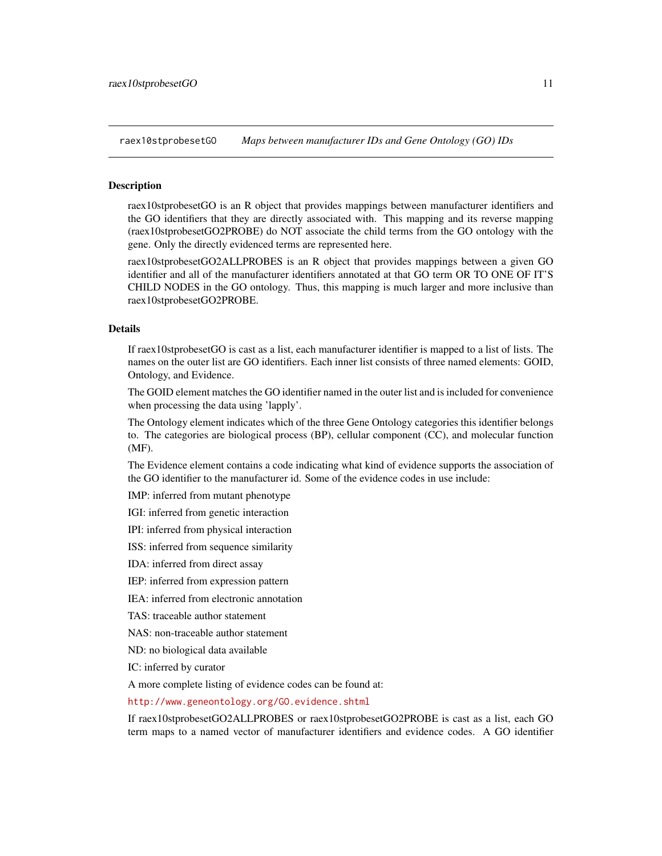<span id="page-10-1"></span>raex10stprobesetGO *Maps between manufacturer IDs and Gene Ontology (GO) IDs*

#### <span id="page-10-0"></span>**Description**

raex10stprobesetGO is an R object that provides mappings between manufacturer identifiers and the GO identifiers that they are directly associated with. This mapping and its reverse mapping (raex10stprobesetGO2PROBE) do NOT associate the child terms from the GO ontology with the gene. Only the directly evidenced terms are represented here.

raex10stprobesetGO2ALLPROBES is an R object that provides mappings between a given GO identifier and all of the manufacturer identifiers annotated at that GO term OR TO ONE OF IT'S CHILD NODES in the GO ontology. Thus, this mapping is much larger and more inclusive than raex10stprobesetGO2PROBE.

## Details

If raex10stprobesetGO is cast as a list, each manufacturer identifier is mapped to a list of lists. The names on the outer list are GO identifiers. Each inner list consists of three named elements: GOID, Ontology, and Evidence.

The GOID element matches the GO identifier named in the outer list and is included for convenience when processing the data using 'lapply'.

The Ontology element indicates which of the three Gene Ontology categories this identifier belongs to. The categories are biological process (BP), cellular component (CC), and molecular function (MF).

The Evidence element contains a code indicating what kind of evidence supports the association of the GO identifier to the manufacturer id. Some of the evidence codes in use include:

IMP: inferred from mutant phenotype

IGI: inferred from genetic interaction

IPI: inferred from physical interaction

ISS: inferred from sequence similarity

IDA: inferred from direct assay

IEP: inferred from expression pattern

IEA: inferred from electronic annotation

TAS: traceable author statement

NAS: non-traceable author statement

ND: no biological data available

IC: inferred by curator

A more complete listing of evidence codes can be found at:

<http://www.geneontology.org/GO.evidence.shtml>

If raex10stprobesetGO2ALLPROBES or raex10stprobesetGO2PROBE is cast as a list, each GO term maps to a named vector of manufacturer identifiers and evidence codes. A GO identifier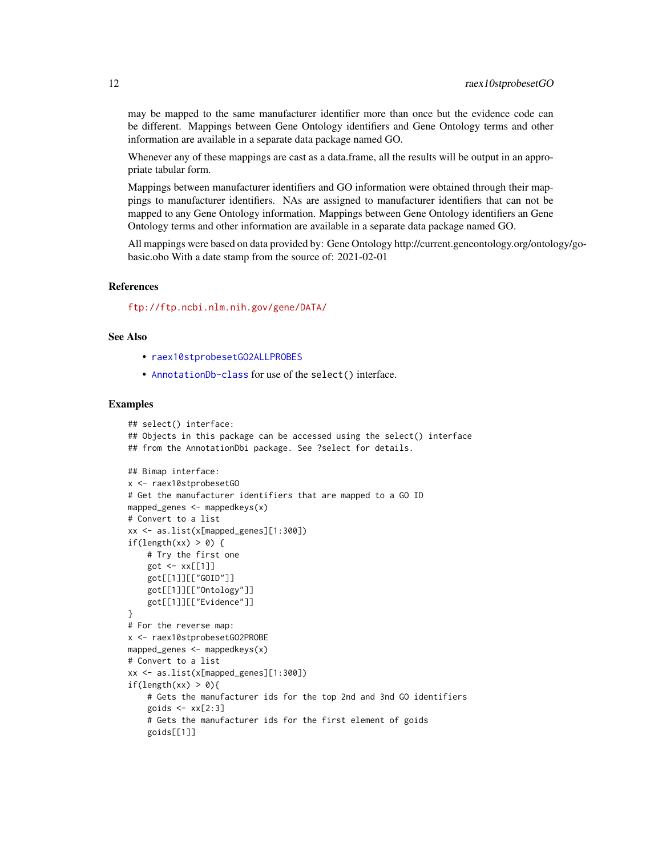<span id="page-11-0"></span>may be mapped to the same manufacturer identifier more than once but the evidence code can be different. Mappings between Gene Ontology identifiers and Gene Ontology terms and other information are available in a separate data package named GO.

Whenever any of these mappings are cast as a data.frame, all the results will be output in an appropriate tabular form.

Mappings between manufacturer identifiers and GO information were obtained through their mappings to manufacturer identifiers. NAs are assigned to manufacturer identifiers that can not be mapped to any Gene Ontology information. Mappings between Gene Ontology identifiers an Gene Ontology terms and other information are available in a separate data package named GO.

All mappings were based on data provided by: Gene Ontology http://current.geneontology.org/ontology/gobasic.obo With a date stamp from the source of: 2021-02-01

## References

<ftp://ftp.ncbi.nlm.nih.gov/gene/DATA/>

## See Also

- [raex10stprobesetGO2ALLPROBES](#page-10-0)
- [AnnotationDb-class](#page-0-0) for use of the select() interface.

```
## select() interface:
## Objects in this package can be accessed using the select() interface
## from the AnnotationDbi package. See ?select for details.
## Bimap interface:
x <- raex10stprobesetGO
# Get the manufacturer identifiers that are mapped to a GO ID
mapped_genes \leq mappedkeys(x)
# Convert to a list
xx <- as.list(x[mapped_genes][1:300])
if(length(xx) > 0) {
    # Try the first one
    got \leftarrow xx[[1]]got[[1]][["GOID"]]
    got[[1]][["Ontology"]]
    got[[1]][["Evidence"]]
}
# For the reverse map:
x <- raex10stprobesetGO2PROBE
mapped_genes \leq mappedkeys(x)
# Convert to a list
xx <- as.list(x[mapped_genes][1:300])
if(length(xx) > 0){
    # Gets the manufacturer ids for the top 2nd and 3nd GO identifiers
    goids \leq -x \times [2:3]# Gets the manufacturer ids for the first element of goids
    goids[[1]]
```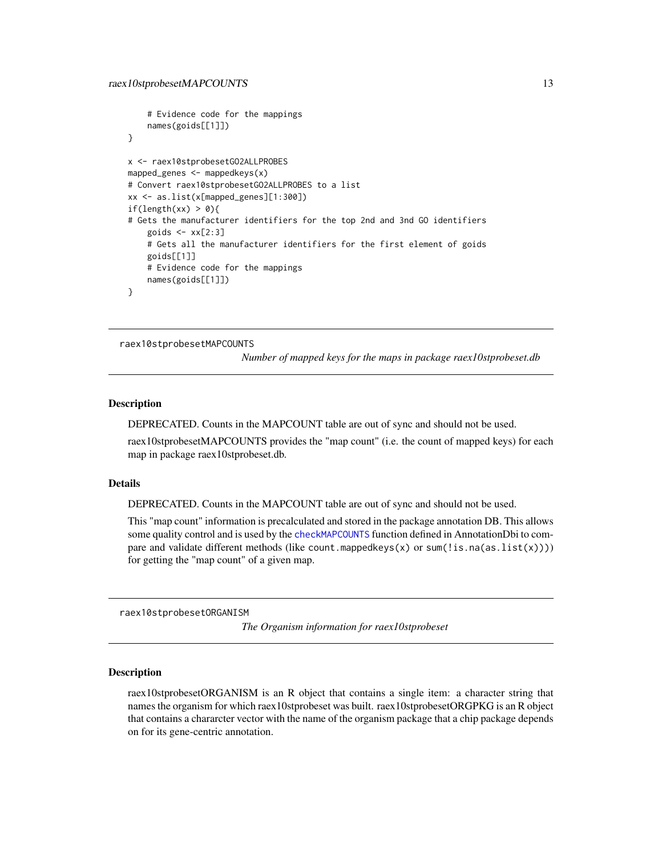```
# Evidence code for the mappings
    names(goids[[1]])
}
x <- raex10stprobesetGO2ALLPROBES
mapped_genes <- mappedkeys(x)
# Convert raex10stprobesetGO2ALLPROBES to a list
xx <- as.list(x[mapped_genes][1:300])
if(length(xx) > 0){
# Gets the manufacturer identifiers for the top 2nd and 3nd GO identifiers
    goids \leftarrow xx[2:3]# Gets all the manufacturer identifiers for the first element of goids
    goids[[1]]
   # Evidence code for the mappings
   names(goids[[1]])
}
```
raex10stprobesetMAPCOUNTS

*Number of mapped keys for the maps in package raex10stprobeset.db*

## Description

DEPRECATED. Counts in the MAPCOUNT table are out of sync and should not be used.

raex10stprobesetMAPCOUNTS provides the "map count" (i.e. the count of mapped keys) for each map in package raex10stprobeset.db.

#### Details

DEPRECATED. Counts in the MAPCOUNT table are out of sync and should not be used.

This "map count" information is precalculated and stored in the package annotation DB. This allows some quality control and is used by the [checkMAPCOUNTS](#page-0-0) function defined in AnnotationDbi to compare and validate different methods (like count.mappedkeys $(x)$  or sum(!is.na(as.list(x)))) for getting the "map count" of a given map.

raex10stprobesetORGANISM

*The Organism information for raex10stprobeset*

#### Description

raex10stprobesetORGANISM is an R object that contains a single item: a character string that names the organism for which raex10stprobeset was built. raex10stprobesetORGPKG is an R object that contains a chararcter vector with the name of the organism package that a chip package depends on for its gene-centric annotation.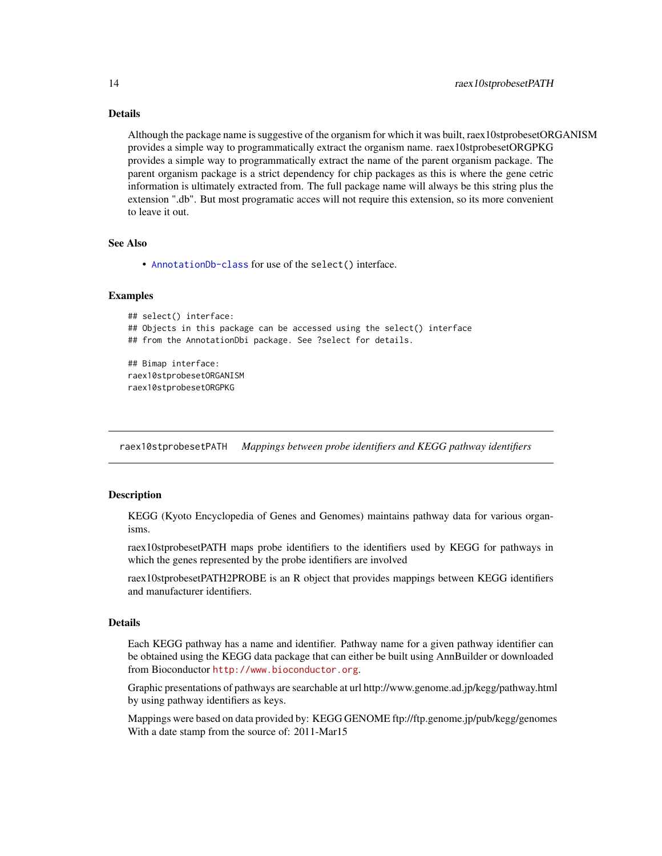## Details

Although the package name is suggestive of the organism for which it was built, raex10stprobesetORGANISM provides a simple way to programmatically extract the organism name. raex10stprobesetORGPKG provides a simple way to programmatically extract the name of the parent organism package. The parent organism package is a strict dependency for chip packages as this is where the gene cetric information is ultimately extracted from. The full package name will always be this string plus the extension ".db". But most programatic acces will not require this extension, so its more convenient to leave it out.

## See Also

• [AnnotationDb-class](#page-0-0) for use of the select() interface.

## Examples

```
## select() interface:
## Objects in this package can be accessed using the select() interface
## from the AnnotationDbi package. See ?select for details.
## Bimap interface:
raex10stprobesetORGANISM
raex10stprobesetORGPKG
```
raex10stprobesetPATH *Mappings between probe identifiers and KEGG pathway identifiers*

## **Description**

KEGG (Kyoto Encyclopedia of Genes and Genomes) maintains pathway data for various organisms.

raex10stprobesetPATH maps probe identifiers to the identifiers used by KEGG for pathways in which the genes represented by the probe identifiers are involved

raex10stprobesetPATH2PROBE is an R object that provides mappings between KEGG identifiers and manufacturer identifiers.

## Details

Each KEGG pathway has a name and identifier. Pathway name for a given pathway identifier can be obtained using the KEGG data package that can either be built using AnnBuilder or downloaded from Bioconductor <http://www.bioconductor.org>.

Graphic presentations of pathways are searchable at url http://www.genome.ad.jp/kegg/pathway.html by using pathway identifiers as keys.

Mappings were based on data provided by: KEGG GENOME ftp://ftp.genome.jp/pub/kegg/genomes With a date stamp from the source of: 2011-Mar15

<span id="page-13-0"></span>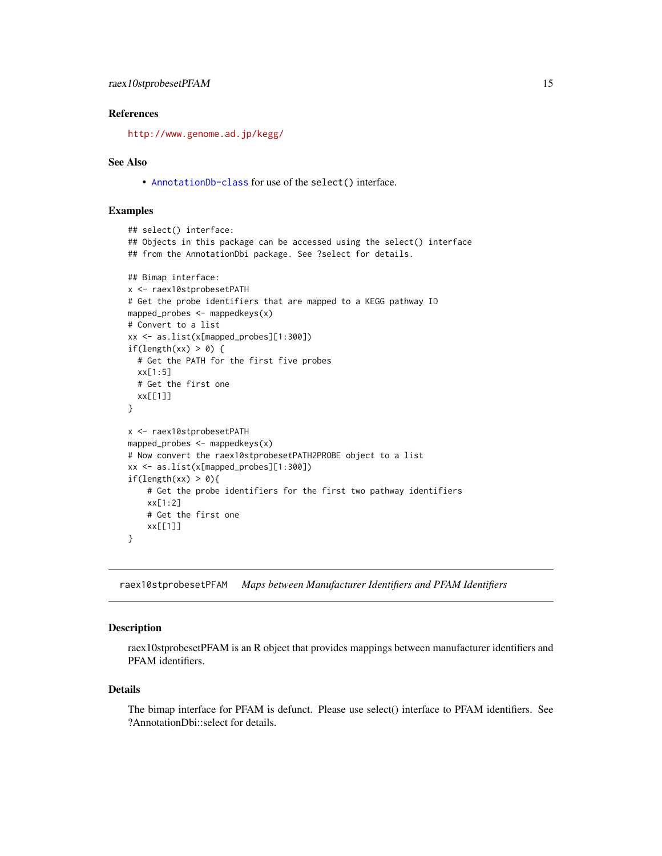## <span id="page-14-0"></span>References

<http://www.genome.ad.jp/kegg/>

#### See Also

• [AnnotationDb-class](#page-0-0) for use of the select() interface.

## Examples

```
## select() interface:
## Objects in this package can be accessed using the select() interface
## from the AnnotationDbi package. See ?select for details.
## Bimap interface:
x <- raex10stprobesetPATH
# Get the probe identifiers that are mapped to a KEGG pathway ID
mapped_probes <- mappedkeys(x)
# Convert to a list
xx <- as.list(x[mapped_probes][1:300])
if(length(xx) > 0) {
  # Get the PATH for the first five probes
  xx[1:5]
  # Get the first one
  xx[[1]]
}
x <- raex10stprobesetPATH
mapped_probes <- mappedkeys(x)
# Now convert the raex10stprobesetPATH2PROBE object to a list
xx <- as.list(x[mapped_probes][1:300])
if(length(xx) > 0){
    # Get the probe identifiers for the first two pathway identifiers
    xx[1:2]
    # Get the first one
    xx[[1]]
}
```
raex10stprobesetPFAM *Maps between Manufacturer Identifiers and PFAM Identifiers*

#### Description

raex10stprobesetPFAM is an R object that provides mappings between manufacturer identifiers and PFAM identifiers.

## Details

The bimap interface for PFAM is defunct. Please use select() interface to PFAM identifiers. See ?AnnotationDbi::select for details.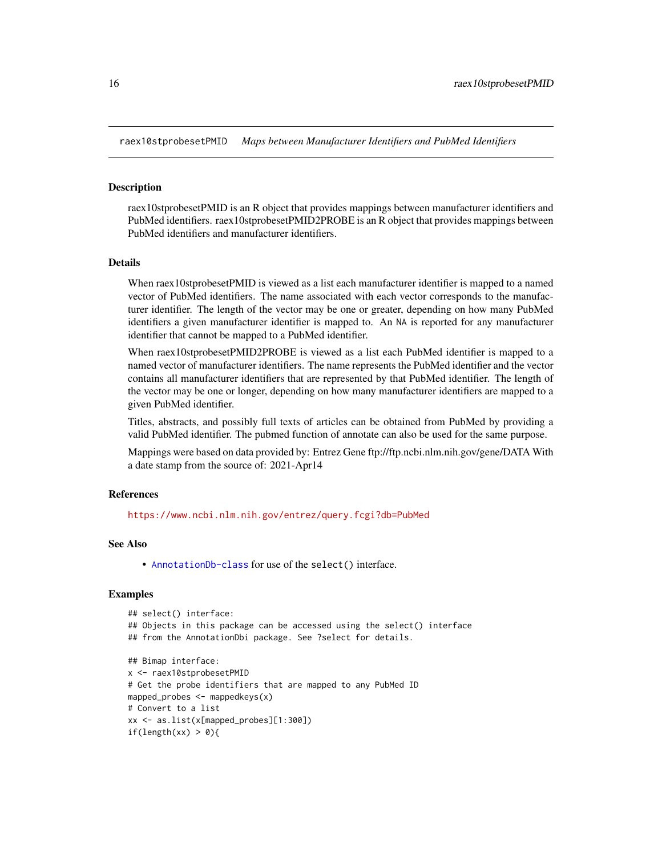<span id="page-15-0"></span>raex10stprobesetPMID *Maps between Manufacturer Identifiers and PubMed Identifiers*

#### Description

raex10stprobesetPMID is an R object that provides mappings between manufacturer identifiers and PubMed identifiers. raex10stprobesetPMID2PROBE is an R object that provides mappings between PubMed identifiers and manufacturer identifiers.

## Details

When raex10stprobesetPMID is viewed as a list each manufacturer identifier is mapped to a named vector of PubMed identifiers. The name associated with each vector corresponds to the manufacturer identifier. The length of the vector may be one or greater, depending on how many PubMed identifiers a given manufacturer identifier is mapped to. An NA is reported for any manufacturer identifier that cannot be mapped to a PubMed identifier.

When raex10stprobesetPMID2PROBE is viewed as a list each PubMed identifier is mapped to a named vector of manufacturer identifiers. The name represents the PubMed identifier and the vector contains all manufacturer identifiers that are represented by that PubMed identifier. The length of the vector may be one or longer, depending on how many manufacturer identifiers are mapped to a given PubMed identifier.

Titles, abstracts, and possibly full texts of articles can be obtained from PubMed by providing a valid PubMed identifier. The pubmed function of annotate can also be used for the same purpose.

Mappings were based on data provided by: Entrez Gene ftp://ftp.ncbi.nlm.nih.gov/gene/DATA With a date stamp from the source of: 2021-Apr14

## References

<https://www.ncbi.nlm.nih.gov/entrez/query.fcgi?db=PubMed>

#### See Also

• [AnnotationDb-class](#page-0-0) for use of the select() interface.

```
## select() interface:
## Objects in this package can be accessed using the select() interface
## from the AnnotationDbi package. See ?select for details.
## Bimap interface:
x <- raex10stprobesetPMID
# Get the probe identifiers that are mapped to any PubMed ID
mapped_probes <- mappedkeys(x)
# Convert to a list
xx <- as.list(x[mapped_probes][1:300])
if(length(xx) > 0){
```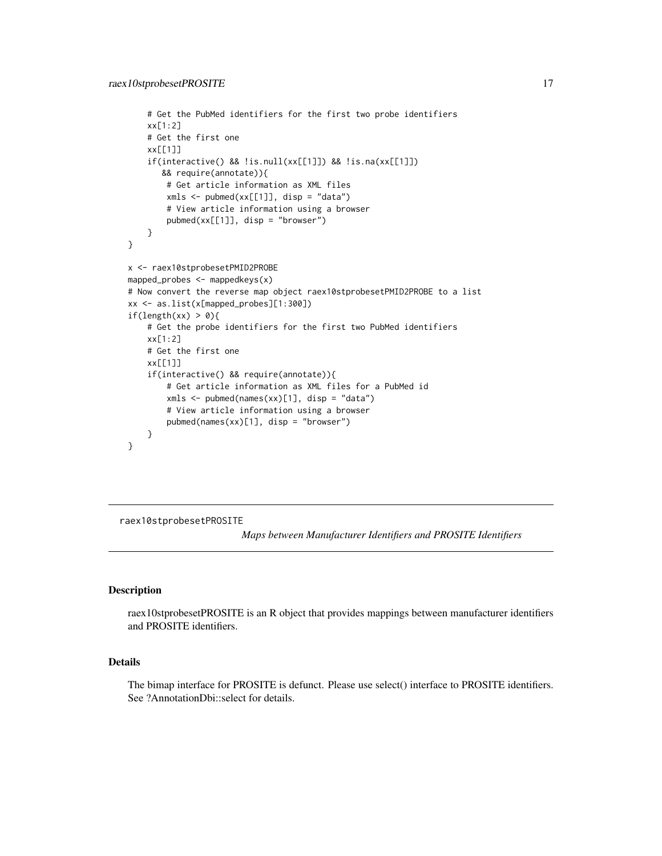```
# Get the PubMed identifiers for the first two probe identifiers
    xx[1:2]
    # Get the first one
   xx[[1]]
    if(interactive() && !is.null(xx[[1]]) && !is.na(xx[[1]])
      && require(annotate)){
       # Get article information as XML files
       xmls < -pubmed(xx[[1]], disp = "data")# View article information using a browser
       pubmed(xx[[1]], disp = "browser")
    }
}
x <- raex10stprobesetPMID2PROBE
mapped_probes <- mappedkeys(x)
# Now convert the reverse map object raex10stprobesetPMID2PROBE to a list
xx <- as.list(x[mapped_probes][1:300])
if(length(xx) > 0){
    # Get the probe identifiers for the first two PubMed identifiers
   xx[1:2]
    # Get the first one
   xx[[1]]
    if(interactive() && require(annotate)){
       # Get article information as XML files for a PubMed id
       xmls <- pubmed(names(xx)[1], disp = "data")
       # View article information using a browser
       pubmed(names(xx)[1], disp = "browser")
   }
}
```
raex10stprobesetPROSITE

*Maps between Manufacturer Identifiers and PROSITE Identifiers*

#### Description

raex10stprobesetPROSITE is an R object that provides mappings between manufacturer identifiers and PROSITE identifiers.

#### Details

The bimap interface for PROSITE is defunct. Please use select() interface to PROSITE identifiers. See ?AnnotationDbi::select for details.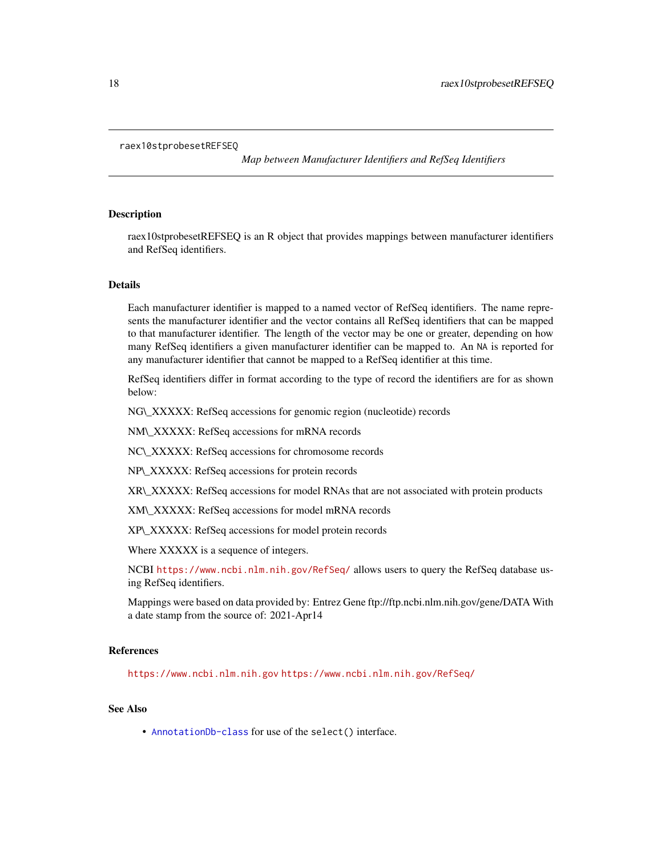#### <span id="page-17-0"></span>raex10stprobesetREFSEQ

*Map between Manufacturer Identifiers and RefSeq Identifiers*

## Description

raex10stprobesetREFSEQ is an R object that provides mappings between manufacturer identifiers and RefSeq identifiers.

#### Details

Each manufacturer identifier is mapped to a named vector of RefSeq identifiers. The name represents the manufacturer identifier and the vector contains all RefSeq identifiers that can be mapped to that manufacturer identifier. The length of the vector may be one or greater, depending on how many RefSeq identifiers a given manufacturer identifier can be mapped to. An NA is reported for any manufacturer identifier that cannot be mapped to a RefSeq identifier at this time.

RefSeq identifiers differ in format according to the type of record the identifiers are for as shown below:

NG\\_XXXXX: RefSeq accessions for genomic region (nucleotide) records

NM\\_XXXXX: RefSeq accessions for mRNA records

NC\\_XXXXX: RefSeq accessions for chromosome records

NP\\_XXXXX: RefSeq accessions for protein records

XR\\_XXXXX: RefSeq accessions for model RNAs that are not associated with protein products

XM\\_XXXXX: RefSeq accessions for model mRNA records

XP\\_XXXXX: RefSeq accessions for model protein records

Where XXXXX is a sequence of integers.

NCBI <https://www.ncbi.nlm.nih.gov/RefSeq/> allows users to query the RefSeq database using RefSeq identifiers.

Mappings were based on data provided by: Entrez Gene ftp://ftp.ncbi.nlm.nih.gov/gene/DATA With a date stamp from the source of: 2021-Apr14

## References

<https://www.ncbi.nlm.nih.gov> <https://www.ncbi.nlm.nih.gov/RefSeq/>

## See Also

• [AnnotationDb-class](#page-0-0) for use of the select() interface.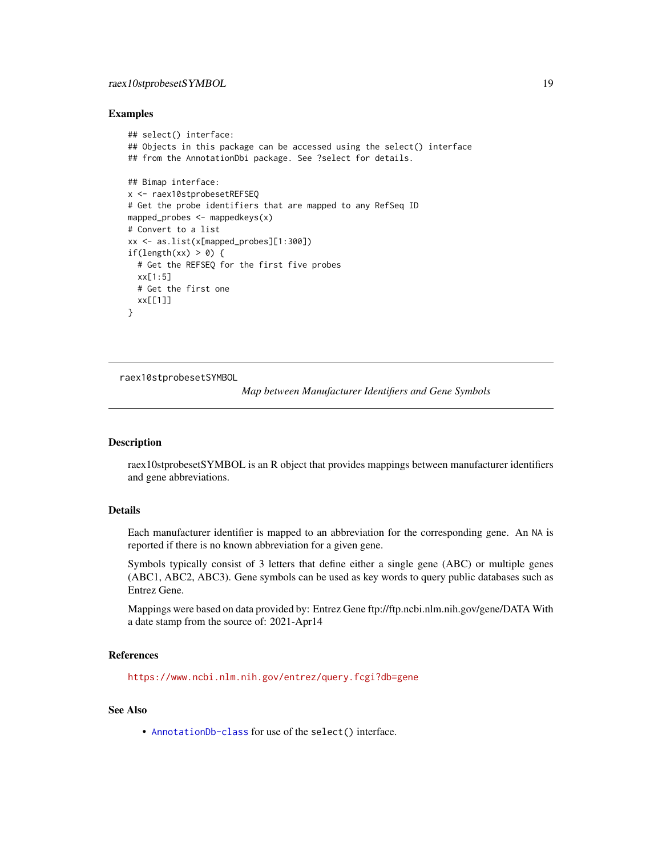## <span id="page-18-0"></span>raex10stprobesetSYMBOL 19

#### Examples

```
## select() interface:
## Objects in this package can be accessed using the select() interface
## from the AnnotationDbi package. See ?select for details.
## Bimap interface:
x <- raex10stprobesetREFSEQ
# Get the probe identifiers that are mapped to any RefSeq ID
mapped_probes <- mappedkeys(x)
# Convert to a list
xx <- as.list(x[mapped_probes][1:300])
if(length(xx) > 0) {
  # Get the REFSEQ for the first five probes
  xx[1:5]
  # Get the first one
  xx[[1]]
}
```
raex10stprobesetSYMBOL

*Map between Manufacturer Identifiers and Gene Symbols*

#### Description

raex10stprobesetSYMBOL is an R object that provides mappings between manufacturer identifiers and gene abbreviations.

## Details

Each manufacturer identifier is mapped to an abbreviation for the corresponding gene. An NA is reported if there is no known abbreviation for a given gene.

Symbols typically consist of 3 letters that define either a single gene (ABC) or multiple genes (ABC1, ABC2, ABC3). Gene symbols can be used as key words to query public databases such as Entrez Gene.

Mappings were based on data provided by: Entrez Gene ftp://ftp.ncbi.nlm.nih.gov/gene/DATA With a date stamp from the source of: 2021-Apr14

## References

<https://www.ncbi.nlm.nih.gov/entrez/query.fcgi?db=gene>

#### See Also

• [AnnotationDb-class](#page-0-0) for use of the select() interface.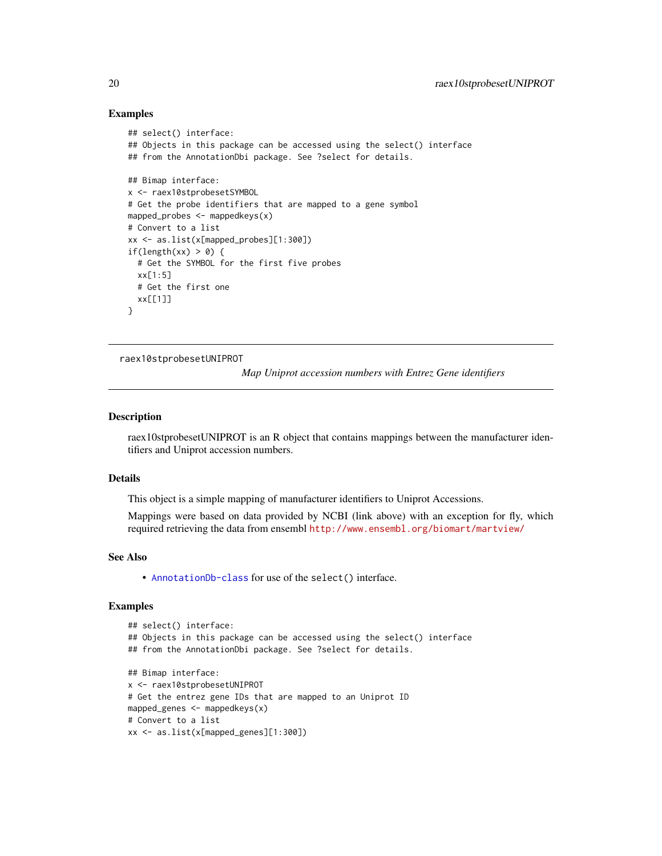### Examples

```
## select() interface:
## Objects in this package can be accessed using the select() interface
## from the AnnotationDbi package. See ?select for details.
## Bimap interface:
x <- raex10stprobesetSYMBOL
# Get the probe identifiers that are mapped to a gene symbol
mapped_probes <- mappedkeys(x)
# Convert to a list
xx <- as.list(x[mapped_probes][1:300])
if(length(xx) > 0) {
  # Get the SYMBOL for the first five probes
  xx[1:5]
  # Get the first one
  xx[[1]]
}
```
raex10stprobesetUNIPROT

*Map Uniprot accession numbers with Entrez Gene identifiers*

## **Description**

raex10stprobesetUNIPROT is an R object that contains mappings between the manufacturer identifiers and Uniprot accession numbers.

#### Details

This object is a simple mapping of manufacturer identifiers to Uniprot Accessions.

Mappings were based on data provided by NCBI (link above) with an exception for fly, which required retrieving the data from ensembl <http://www.ensembl.org/biomart/martview/>

#### See Also

• [AnnotationDb-class](#page-0-0) for use of the select() interface.

```
## select() interface:
## Objects in this package can be accessed using the select() interface
## from the AnnotationDbi package. See ?select for details.
## Bimap interface:
x <- raex10stprobesetUNIPROT
# Get the entrez gene IDs that are mapped to an Uniprot ID
mapped_genes <- mappedkeys(x)
# Convert to a list
xx <- as.list(x[mapped_genes][1:300])
```
<span id="page-19-0"></span>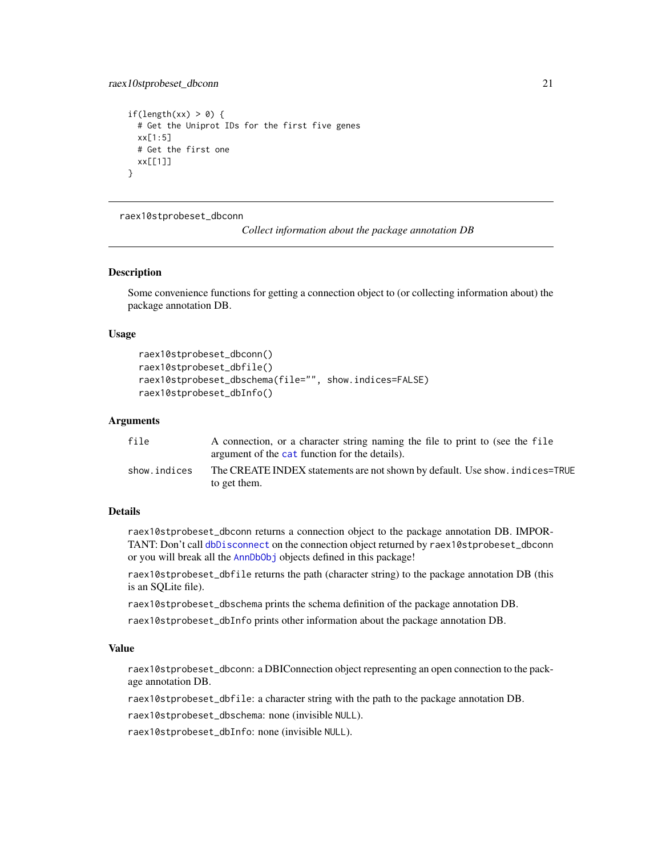```
if(length(xx) > 0) {
 # Get the Uniprot IDs for the first five genes
 xx[1:5]
 # Get the first one
 xx[[1]]
}
```
raex10stprobeset\_dbconn

*Collect information about the package annotation DB*

#### Description

Some convenience functions for getting a connection object to (or collecting information about) the package annotation DB.

## Usage

```
raex10stprobeset_dbconn()
raex10stprobeset_dbfile()
raex10stprobeset_dbschema(file="", show.indices=FALSE)
raex10stprobeset_dbInfo()
```
#### Arguments

| file         | A connection, or a character string naming the file to print to (see the file |
|--------------|-------------------------------------------------------------------------------|
|              | argument of the cat function for the details).                                |
| show.indices | The CREATE INDEX statements are not shown by default. Use show, indices=TRUE  |
|              | to get them.                                                                  |

## Details

raex10stprobeset\_dbconn returns a connection object to the package annotation DB. IMPOR-TANT: Don't call [dbDisconnect](#page-0-0) on the connection object returned by raex10stprobeset\_dbconn or you will break all the [AnnDbObj](#page-0-0) objects defined in this package!

raex10stprobeset\_dbfile returns the path (character string) to the package annotation DB (this is an SQLite file).

raex10stprobeset\_dbschema prints the schema definition of the package annotation DB.

raex10stprobeset\_dbInfo prints other information about the package annotation DB.

## Value

raex10stprobeset\_dbconn: a DBIConnection object representing an open connection to the package annotation DB.

raex10stprobeset\_dbfile: a character string with the path to the package annotation DB.

raex10stprobeset\_dbschema: none (invisible NULL).

raex10stprobeset\_dbInfo: none (invisible NULL).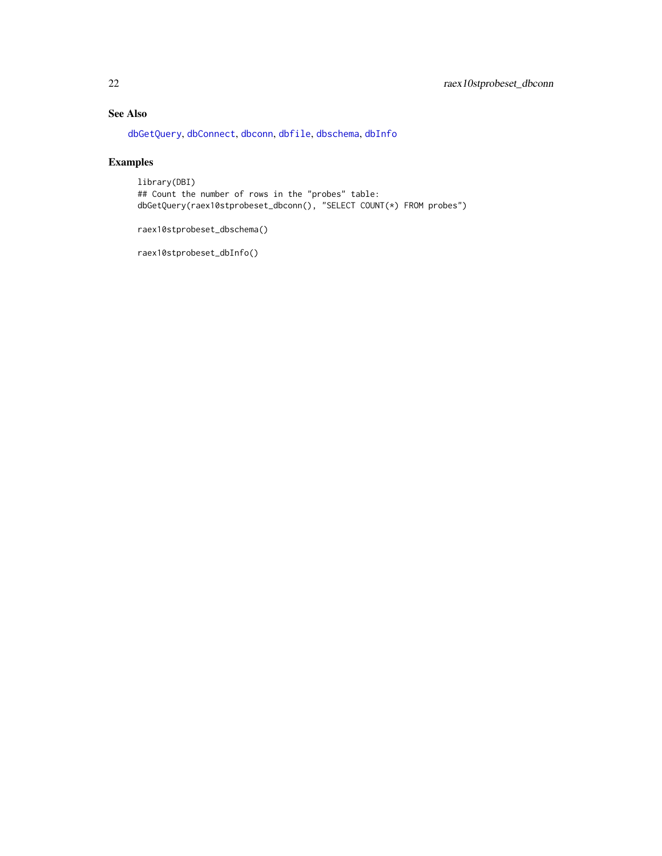## <span id="page-21-0"></span>See Also

[dbGetQuery](#page-0-0), [dbConnect](#page-0-0), [dbconn](#page-0-0), [dbfile](#page-0-0), [dbschema](#page-0-0), [dbInfo](#page-0-0)

## Examples

library(DBI) ## Count the number of rows in the "probes" table: dbGetQuery(raex10stprobeset\_dbconn(), "SELECT COUNT(\*) FROM probes")

raex10stprobeset\_dbschema()

raex10stprobeset\_dbInfo()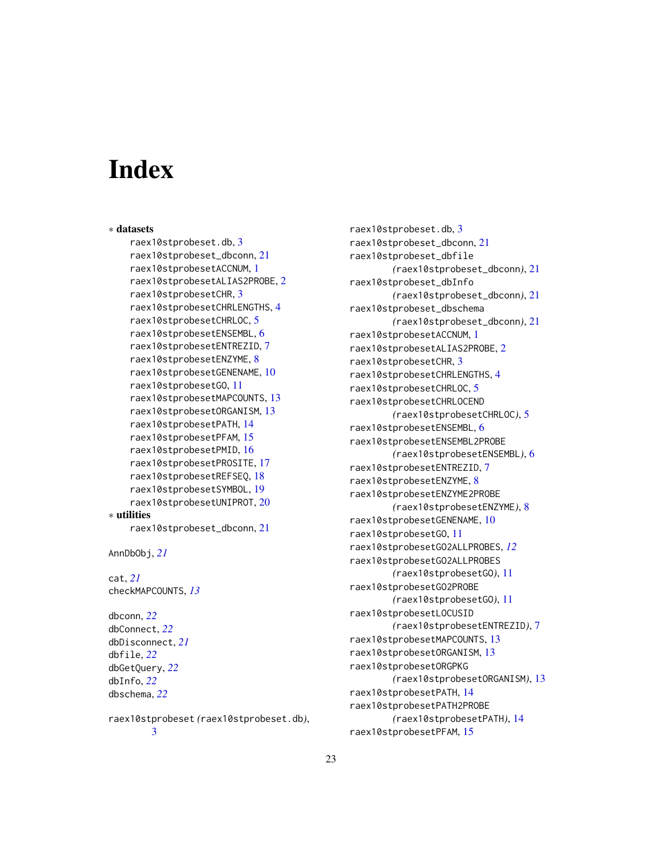# Index

```
∗ datasets
    raex10stprobeset.db, 3
    raex10stprobeset_dbconn, 21
    raex10stprobesetACCNUM, 1
    raex10stprobesetALIAS2PROBE, 2
    raex10stprobesetCHR, 3
    raex10stprobesetCHRLENGTHS, 4
    raex10stprobesetCHRLOC, 5
    raex10stprobesetENSEMBL, 6
    raex10stprobesetENTREZID, 7
    raex10stprobesetENZYME, 8
    raex10stprobesetGENENAME, 10
    raex10stprobesetGO, 11
    raex10stprobesetMAPCOUNTS, 13
    raex10stprobesetORGANISM, 13
    raex10stprobesetPATH, 14
    raex10stprobesetPFAM, 15
    raex10stprobesetPMID, 16
    raex10stprobesetPROSITE, 17
    raex10stprobesetREFSEQ, 18
    raex10stprobesetSYMBOL, 19
    raex10stprobesetUNIPROT, 20
∗ utilities
    raex10stprobeset_dbconn, 21
```

```
AnnDbObj, 21
```

```
cat, 21
checkMAPCOUNTS, 13
```
dbconn, *[22](#page-21-0)* dbConnect, *[22](#page-21-0)* dbDisconnect, *[21](#page-20-0)* dbfile, *[22](#page-21-0)* dbGetQuery, *[22](#page-21-0)* dbInfo, *[22](#page-21-0)* dbschema, *[22](#page-21-0)*

raex10stprobeset *(*raex10stprobeset.db*)*, [3](#page-2-0)

raex10stprobeset.db, [3](#page-2-0) raex10stprobeset\_dbconn, [21](#page-20-0) raex10stprobeset\_dbfile *(*raex10stprobeset\_dbconn*)*, [21](#page-20-0) raex10stprobeset\_dbInfo *(*raex10stprobeset\_dbconn*)*, [21](#page-20-0) raex10stprobeset\_dbschema *(*raex10stprobeset\_dbconn*)*, [21](#page-20-0) raex10stprobesetACCNUM, [1](#page-0-1) raex10stprobesetALIAS2PROBE, [2](#page-1-0) raex10stprobesetCHR, [3](#page-2-0) raex10stprobesetCHRLENGTHS, [4](#page-3-0) raex10stprobesetCHRLOC, [5](#page-4-0) raex10stprobesetCHRLOCEND *(*raex10stprobesetCHRLOC*)*, [5](#page-4-0) raex10stprobesetENSEMBL, [6](#page-5-0) raex10stprobesetENSEMBL2PROBE *(*raex10stprobesetENSEMBL*)*, [6](#page-5-0) raex10stprobesetENTREZID, [7](#page-6-0) raex10stprobesetENZYME, [8](#page-7-0) raex10stprobesetENZYME2PROBE *(*raex10stprobesetENZYME*)*, [8](#page-7-0) raex10stprobesetGENENAME, [10](#page-9-0) raex10stprobesetGO, [11](#page-10-1) raex10stprobesetGO2ALLPROBES, *[12](#page-11-0)* raex10stprobesetGO2ALLPROBES *(*raex10stprobesetGO*)*, [11](#page-10-1) raex10stprobesetGO2PROBE *(*raex10stprobesetGO*)*, [11](#page-10-1) raex10stprobesetLOCUSID *(*raex10stprobesetENTREZID*)*, [7](#page-6-0) raex10stprobesetMAPCOUNTS, [13](#page-12-0) raex10stprobesetORGANISM, [13](#page-12-0) raex10stprobesetORGPKG *(*raex10stprobesetORGANISM*)*, [13](#page-12-0) raex10stprobesetPATH, [14](#page-13-0) raex10stprobesetPATH2PROBE *(*raex10stprobesetPATH*)*, [14](#page-13-0) raex10stprobesetPFAM, [15](#page-14-0)